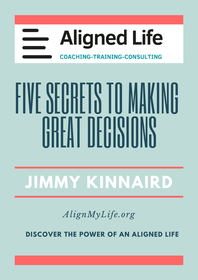

# FIVE SECRETS TO MAKING GREAT HILLENIIMS

# **JIMMY KINNAIRD**

*AlignMyLife.org*

**DISCOVER THE POWER OF AN ALIGNED LIFE**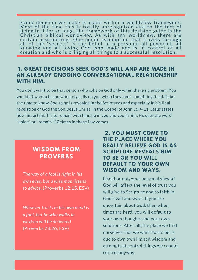Every decision we make is made within <sup>a</sup> worldview framework. Most of the time this is totally unrecognized due to the fact of living in it for so long. The framework of this decision guide is the Christian biblical worldview. As with any worldview, there are certain assumptions. One major assumption that travels through all of the "secrets" is the belief in a personal all powerful, all knowing and all loving God who made and is in control of all creation and who is bringing all things to a successful resolution.

#### **1. GREAT DECISIONS SEEK GOD'S WILL AND ARE MADE IN AN ALREADY ONGOING CONVERSATIONAL RELATIONSHIIP WITH HIM.**

You don't want to be that person who calls on God only when there's a problem. You wouldn't want a friend who only calls on you when they need something fixed. Take the time to know God as he is revealed in the Scriptures and especially in his final revelation of God the Son, Jesus Christ. In the Gospel of John 15:4-11, Jesus states how important it is to remain with him; he in you and you in him. He uses the word "abide" or "remain" 10 times in those few verses.

### **WISDOM FROM PROVERBS**

*The way of a fool is right in his own eyes, but a wise man listens to advice.* (Proverbs 12:15, ESV)

*Whoever trusts in his own mind is a fool, but he who walks in wisdom will be delivered.* (Proverbs 28:26, ESV)

#### **2. YOU MUST COME TO THE PLACE WHERE YOU REALLY BELIEVE GOD IS AS SCRIPTURE REVEALS HIM TO BE OR YOU WILL DEFAULT TO YOUR OWN WISDOM AND WAYS.**

Like it or not, your personal view of God will affect the level of trust you will give to Scripture and to faith in God's will and ways. If you are uncertain about God, then when times are hard, you will default to your own thoughts and your own solutions. After all, the place we find ourselves that we want not to be, is due to own own limited wisdom and attempts at control things we cannot control anyway.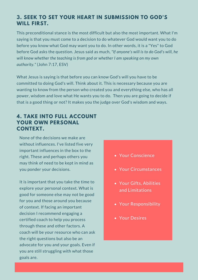#### **3. SEEK TO SET YOUR HEART IN SUBMISSION TO GOD'S WILL FIRST.**

This preconditional stance is the most difficult but also the most important. What I'm saying is that you must come to a decision to do whatever God would want you to do before you know what God may want you to do. In other words, it is a "Yes" to God before God asks the question. Jesus said as much, *"If anyone's will is to do God's will, he will know whether the teaching is from god or whether I am speaking on my own authority."* (John 7:17, ESV)

What Jesus is saying is that before you can know God's will you have to be committed to doing God's will. Think about it. This is necessary because you are wanting to know from the person who created you and everything else, who has all power, wisdom and love what He wants you to do. Then you are going to decide if that is a good thing or not? It makes you the judge over God's wisdom and ways.

#### **4. TAKE INTO FULL ACCOUNT YOUR OWN PERSONAL CONTEXT.**

None of the decisions we make are without influences. I've listed five very important influences in the box to the right. These and perhaps others you may think of need to be kept in mind as you ponder your decisions.

It is important that you take the time to explore your personal context. What is good for someone else may not be good for you and those around you because of context. If facing an important decision I recommend engaging a certified coach to help you process through these and other factors. A coach will be your resource who can ask the right questions but also be an advocate for you and your goals. Even if you are still struggling with what those goals are.

#### Your Conscience

- Your Circumstances
- Your Gifts, Abilities and Limitations
- Your Responsibility
- Your Desires